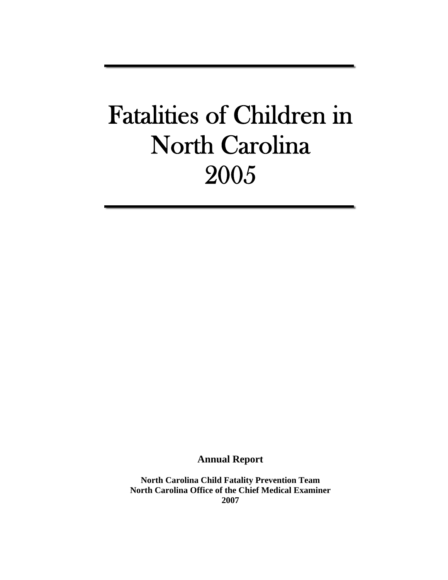# Fatalities of Children in North Carolina 2005

**Annual Report** 

**North Carolina Child Fatality Prevention Team North Carolina Office of the Chief Medical Examiner 2007**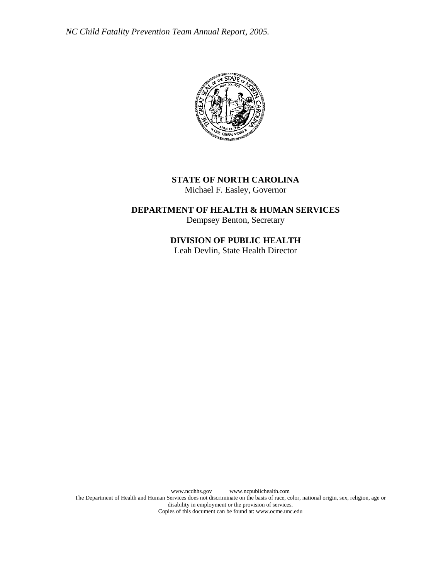

# **STATE OF NORTH CAROLINA**

Michael F. Easley, Governor

**DEPARTMENT OF HEALTH & HUMAN SERVICES**  Dempsey Benton, Secretary

# **DIVISION OF PUBLIC HEALTH**

Leah Devlin, State Health Director

 www.ncdhhs.gov www.ncpublichealth.com The Department of Health and Human Services does not discriminate on the basis of race, color, national origin, sex, religion, age or disability in employment or the provision of services. Copies of this document can be found at: www.ocme.unc.edu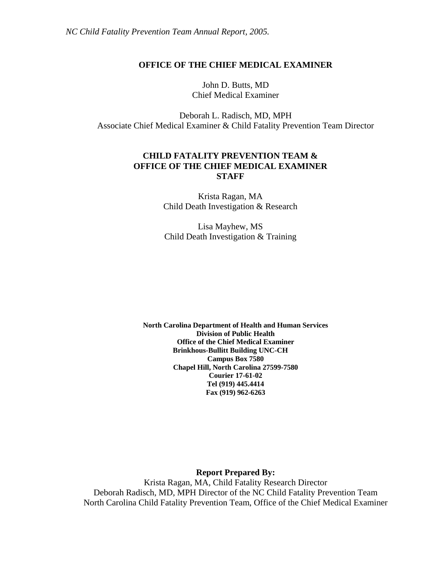# **OFFICE OF THE CHIEF MEDICAL EXAMINER**

John D. Butts, MD Chief Medical Examiner

Deborah L. Radisch, MD, MPH Associate Chief Medical Examiner & Child Fatality Prevention Team Director

# **CHILD FATALITY PREVENTION TEAM & OFFICE OF THE CHIEF MEDICAL EXAMINER STAFF**

Krista Ragan, MA Child Death Investigation & Research

Lisa Mayhew, MS Child Death Investigation & Training

**North Carolina Department of Health and Human Services Division of Public Health Office of the Chief Medical Examiner Brinkhous-Bullitt Building UNC-CH Campus Box 7580 Chapel Hill, North Carolina 27599-7580 Courier 17-61-02 Tel (919) 445.4414 Fax (919) 962-6263** 

**Report Prepared By:** 

Krista Ragan, MA, Child Fatality Research Director Deborah Radisch, MD, MPH Director of the NC Child Fatality Prevention Team North Carolina Child Fatality Prevention Team, Office of the Chief Medical Examiner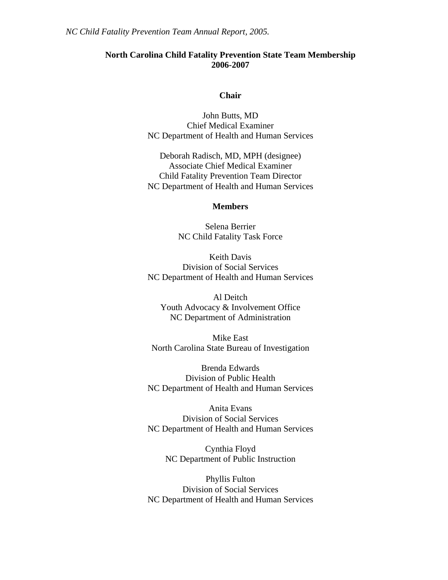## **North Carolina Child Fatality Prevention State Team Membership 2006-2007**

#### **Chair**

John Butts, MD Chief Medical Examiner NC Department of Health and Human Services

Deborah Radisch, MD, MPH (designee) Associate Chief Medical Examiner Child Fatality Prevention Team Director NC Department of Health and Human Services

## **Members**

Selena Berrier NC Child Fatality Task Force

Keith Davis Division of Social Services NC Department of Health and Human Services

Al Deitch Youth Advocacy & Involvement Office NC Department of Administration

Mike East North Carolina State Bureau of Investigation

Brenda Edwards Division of Public Health NC Department of Health and Human Services

Anita Evans Division of Social Services NC Department of Health and Human Services

> Cynthia Floyd NC Department of Public Instruction

Phyllis Fulton Division of Social Services NC Department of Health and Human Services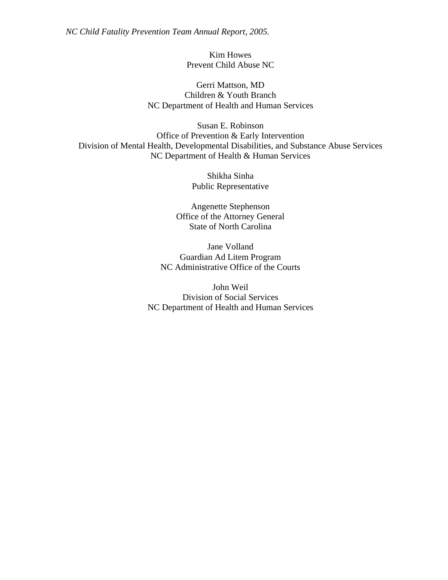*NC Child Fatality Prevention Team Annual Report, 2005.* 

Kim Howes Prevent Child Abuse NC

Gerri Mattson, MD Children & Youth Branch NC Department of Health and Human Services

Susan E. Robinson Office of Prevention & Early Intervention Division of Mental Health, Developmental Disabilities, and Substance Abuse Services NC Department of Health & Human Services

> Shikha Sinha Public Representative

Angenette Stephenson Office of the Attorney General State of North Carolina

Jane Volland Guardian Ad Litem Program NC Administrative Office of the Courts

John Weil Division of Social Services NC Department of Health and Human Services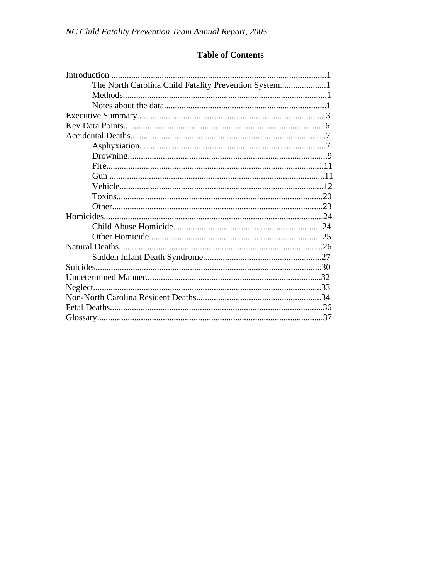# **Table of Contents**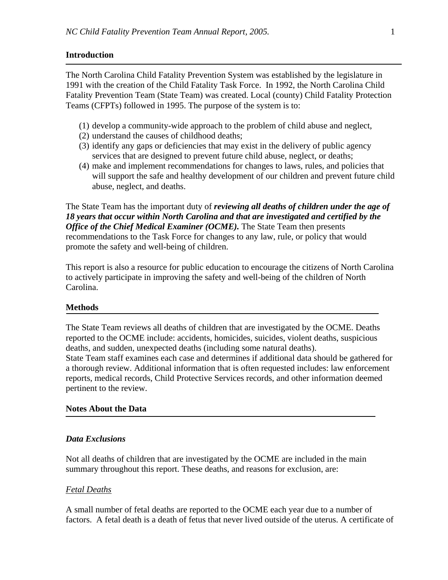## **Introduction**

The North Carolina Child Fatality Prevention System was established by the legislature in 1991 with the creation of the Child Fatality Task Force. In 1992, the North Carolina Child Fatality Prevention Team (State Team) was created. Local (county) Child Fatality Protection Teams (CFPTs) followed in 1995. The purpose of the system is to:

- (1) develop a community-wide approach to the problem of child abuse and neglect,
- (2) understand the causes of childhood deaths;
- (3) identify any gaps or deficiencies that may exist in the delivery of public agency services that are designed to prevent future child abuse, neglect, or deaths;
- (4) make and implement recommendations for changes to laws, rules, and policies that will support the safe and healthy development of our children and prevent future child abuse, neglect, and deaths.

The State Team has the important duty of *reviewing all deaths of children under the age of 18 years that occur within North Carolina and that are investigated and certified by the Office of the Chief Medical Examiner (OCME). The State Team then presents* recommendations to the Task Force for changes to any law, rule, or policy that would promote the safety and well-being of children.

This report is also a resource for public education to encourage the citizens of North Carolina to actively participate in improving the safety and well-being of the children of North Carolina.

#### **Methods**

The State Team reviews all deaths of children that are investigated by the OCME. Deaths reported to the OCME include: accidents, homicides, suicides, violent deaths, suspicious deaths, and sudden, unexpected deaths (including some natural deaths). State Team staff examines each case and determines if additional data should be gathered for a thorough review. Additional information that is often requested includes: law enforcement reports, medical records, Child Protective Services records, and other information deemed pertinent to the review.

#### **Notes About the Data**

## *Data Exclusions*

Not all deaths of children that are investigated by the OCME are included in the main summary throughout this report. These deaths, and reasons for exclusion, are:

## *Fetal Deaths*

A small number of fetal deaths are reported to the OCME each year due to a number of factors. A fetal death is a death of fetus that never lived outside of the uterus. A certificate of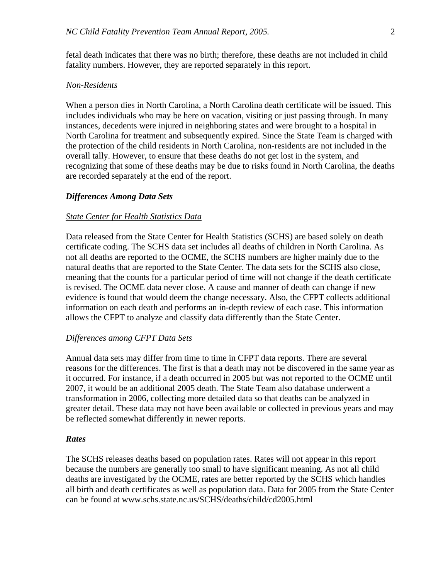fetal death indicates that there was no birth; therefore, these deaths are not included in child fatality numbers. However, they are reported separately in this report.

## *Non-Residents*

When a person dies in North Carolina, a North Carolina death certificate will be issued. This includes individuals who may be here on vacation, visiting or just passing through. In many instances, decedents were injured in neighboring states and were brought to a hospital in North Carolina for treatment and subsequently expired. Since the State Team is charged with the protection of the child residents in North Carolina, non-residents are not included in the overall tally. However, to ensure that these deaths do not get lost in the system, and recognizing that some of these deaths may be due to risks found in North Carolina, the deaths are recorded separately at the end of the report.

#### *Differences Among Data Sets*

#### *State Center for Health Statistics Data*

Data released from the State Center for Health Statistics (SCHS) are based solely on death certificate coding. The SCHS data set includes all deaths of children in North Carolina. As not all deaths are reported to the OCME, the SCHS numbers are higher mainly due to the natural deaths that are reported to the State Center. The data sets for the SCHS also close, meaning that the counts for a particular period of time will not change if the death certificate is revised. The OCME data never close. A cause and manner of death can change if new evidence is found that would deem the change necessary. Also, the CFPT collects additional information on each death and performs an in-depth review of each case. This information allows the CFPT to analyze and classify data differently than the State Center.

#### *Differences among CFPT Data Sets*

Annual data sets may differ from time to time in CFPT data reports. There are several reasons for the differences. The first is that a death may not be discovered in the same year as it occurred. For instance, if a death occurred in 2005 but was not reported to the OCME until 2007, it would be an additional 2005 death. The State Team also database underwent a transformation in 2006, collecting more detailed data so that deaths can be analyzed in greater detail. These data may not have been available or collected in previous years and may be reflected somewhat differently in newer reports.

#### *Rates*

The SCHS releases deaths based on population rates. Rates will not appear in this report because the numbers are generally too small to have significant meaning. As not all child deaths are investigated by the OCME, rates are better reported by the SCHS which handles all birth and death certificates as well as population data. Data for 2005 from the State Center can be found at www.schs.state.nc.us/SCHS/deaths/child/cd2005.html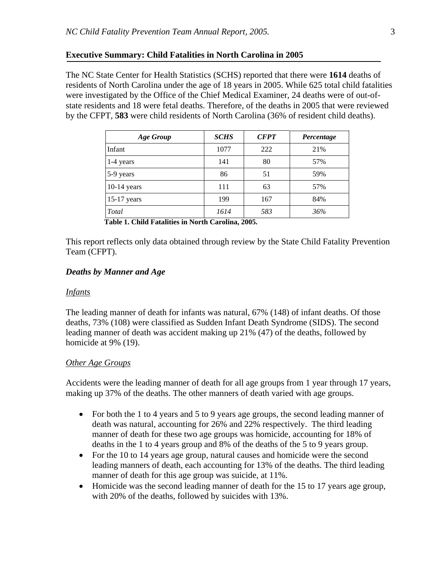#### **Executive Summary: Child Fatalities in North Carolina in 2005**

The NC State Center for Health Statistics (SCHS) reported that there were **1614** deaths of residents of North Carolina under the age of 18 years in 2005. While 625 total child fatalities were investigated by the Office of the Chief Medical Examiner, 24 deaths were of out-ofstate residents and 18 were fetal deaths. Therefore, of the deaths in 2005 that were reviewed by the CFPT, **583** were child residents of North Carolina (36% of resident child deaths).

| Age Group     | <b>SCHS</b> | <b>CFPT</b> | Percentage |
|---------------|-------------|-------------|------------|
| Infant        | 1077        | 222         | 21%        |
| 1-4 years     | 141         | 80          | 57%        |
| 5-9 years     | 86          | 51          | 59%        |
| $10-14$ years | 111         | 63          | 57%        |
| $15-17$ years | 199         | 167         | 84%        |
| Total         | 1614        | 583         | 36%        |

 **Table 1. Child Fatalities in North Carolina, 2005.** 

This report reflects only data obtained through review by the State Child Fatality Prevention Team (CFPT).

## *Deaths by Manner and Age*

#### *Infants*

The leading manner of death for infants was natural, 67% (148) of infant deaths. Of those deaths, 73% (108) were classified as Sudden Infant Death Syndrome (SIDS). The second leading manner of death was accident making up 21% (47) of the deaths, followed by homicide at 9% (19).

#### *Other Age Groups*

Accidents were the leading manner of death for all age groups from 1 year through 17 years, making up 37% of the deaths. The other manners of death varied with age groups.

- For both the 1 to 4 years and 5 to 9 years age groups, the second leading manner of death was natural, accounting for 26% and 22% respectively. The third leading manner of death for these two age groups was homicide, accounting for 18% of deaths in the 1 to 4 years group and 8% of the deaths of the 5 to 9 years group.
- For the 10 to 14 years age group, natural causes and homicide were the second leading manners of death, each accounting for 13% of the deaths. The third leading manner of death for this age group was suicide, at 11%.
- Homicide was the second leading manner of death for the 15 to 17 years age group, with 20% of the deaths, followed by suicides with 13%.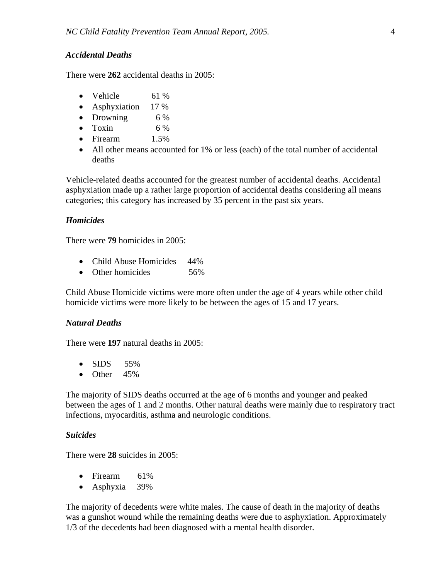#### *Accidental Deaths*

There were **262** accidental deaths in 2005:

- Vehicle 61 %
- Asphyxiation 17 %
- Drowning 6 %
- Toxin  $6\%$
- Firearm 1.5%
- All other means accounted for 1% or less (each) of the total number of accidental deaths

Vehicle-related deaths accounted for the greatest number of accidental deaths. Accidental asphyxiation made up a rather large proportion of accidental deaths considering all means categories; this category has increased by 35 percent in the past six years.

#### *Homicides*

There were **79** homicides in 2005:

- Child Abuse Homicides 44%
- Other homicides 56%

Child Abuse Homicide victims were more often under the age of 4 years while other child homicide victims were more likely to be between the ages of 15 and 17 years.

#### *Natural Deaths*

There were **197** natural deaths in 2005:

- SIDS  $55\%$
- Other  $45%$

The majority of SIDS deaths occurred at the age of 6 months and younger and peaked between the ages of 1 and 2 months. Other natural deaths were mainly due to respiratory tract infections, myocarditis, asthma and neurologic conditions.

#### *Suicides*

There were **28** suicides in 2005:

- Firearm 61%
- Asphyxia 39%

The majority of decedents were white males. The cause of death in the majority of deaths was a gunshot wound while the remaining deaths were due to asphyxiation. Approximately 1/3 of the decedents had been diagnosed with a mental health disorder.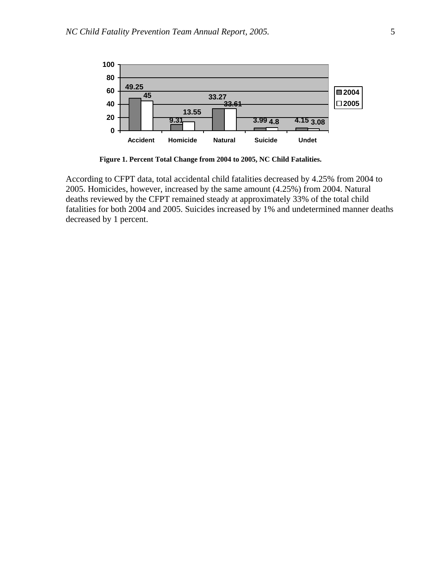

 **Figure 1. Percent Total Change from 2004 to 2005, NC Child Fatalities.** 

According to CFPT data, total accidental child fatalities decreased by 4.25% from 2004 to 2005. Homicides, however, increased by the same amount (4.25%) from 2004. Natural deaths reviewed by the CFPT remained steady at approximately 33% of the total child fatalities for both 2004 and 2005. Suicides increased by 1% and undetermined manner deaths decreased by 1 percent.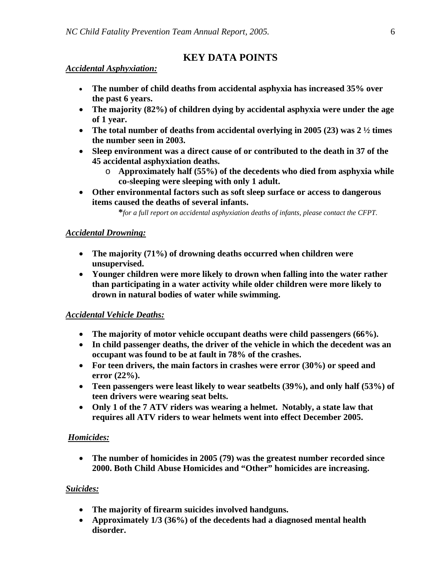# **KEY DATA POINTS**

## *Accidental Asphyxiation:*

- **The number of child deaths from accidental asphyxia has increased 35% over the past 6 years.**
- **The majority (82%) of children dying by accidental asphyxia were under the age of 1 year.**
- **The total number of deaths from accidental overlying in 2005 (23) was 2 ½ times the number seen in 2003.**
- **Sleep environment was a direct cause of or contributed to the death in 37 of the 45 accidental asphyxiation deaths.** 
	- o **Approximately half (55%) of the decedents who died from asphyxia while co-sleeping were sleeping with only 1 adult.**
- **Other environmental factors such as soft sleep surface or access to dangerous items caused the deaths of several infants.**

**\****for a full report on accidental asphyxiation deaths of infants, please contact the CFPT.*

## *Accidental Drowning:*

- **The majority (71%) of drowning deaths occurred when children were unsupervised.**
- **Younger children were more likely to drown when falling into the water rather than participating in a water activity while older children were more likely to drown in natural bodies of water while swimming.**

## *Accidental Vehicle Deaths:*

- **The majority of motor vehicle occupant deaths were child passengers (66%).**
- **In child passenger deaths, the driver of the vehicle in which the decedent was an occupant was found to be at fault in 78% of the crashes.**
- **For teen drivers, the main factors in crashes were error (30%) or speed and error (22%).**
- **Teen passengers were least likely to wear seatbelts (39%), and only half (53%) of teen drivers were wearing seat belts.**
- **Only 1 of the 7 ATV riders was wearing a helmet. Notably, a state law that requires all ATV riders to wear helmets went into effect December 2005.**

## *Homicides:*

• **The number of homicides in 2005 (79) was the greatest number recorded since 2000. Both Child Abuse Homicides and "Other" homicides are increasing.** 

## *Suicides:*

- **The majority of firearm suicides involved handguns.**
- **Approximately 1/3 (36%) of the decedents had a diagnosed mental health disorder.**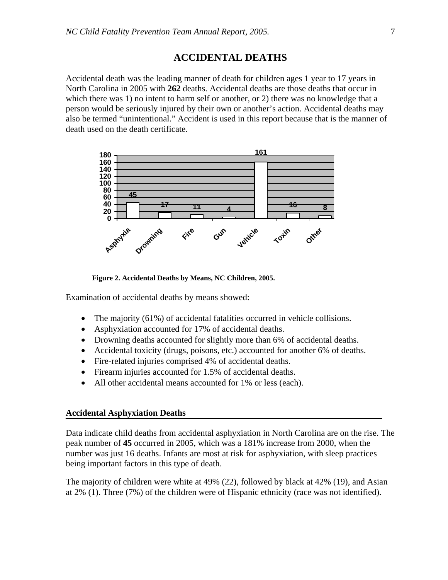# **ACCIDENTAL DEATHS**

Accidental death was the leading manner of death for children ages 1 year to 17 years in North Carolina in 2005 with **262** deaths. Accidental deaths are those deaths that occur in which there was 1) no intent to harm self or another, or 2) there was no knowledge that a person would be seriously injured by their own or another's action. Accidental deaths may also be termed "unintentional." Accident is used in this report because that is the manner of death used on the death certificate.



 **Figure 2. Accidental Deaths by Means, NC Children, 2005.** 

Examination of accidental deaths by means showed:

- The majority (61%) of accidental fatalities occurred in vehicle collisions.
- Asphyxiation accounted for 17% of accidental deaths.
- Drowning deaths accounted for slightly more than 6% of accidental deaths.
- Accidental toxicity (drugs, poisons, etc.) accounted for another 6% of deaths.
- Fire-related injuries comprised 4% of accidental deaths.
- Firearm injuries accounted for 1.5% of accidental deaths.
- All other accidental means accounted for 1% or less (each).

#### **Accidental Asphyxiation Deaths**

Data indicate child deaths from accidental asphyxiation in North Carolina are on the rise. The peak number of **45** occurred in 2005, which was a 181% increase from 2000, when the number was just 16 deaths. Infants are most at risk for asphyxiation, with sleep practices being important factors in this type of death.

The majority of children were white at 49% (22), followed by black at 42% (19), and Asian at 2% (1). Three (7%) of the children were of Hispanic ethnicity (race was not identified).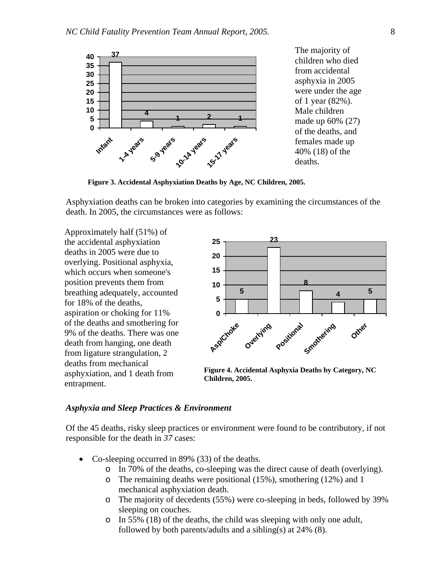

**Figure 3. Accidental Asphyxiation Deaths by Age, NC Children, 2005.** 

Asphyxiation deaths can be broken into categories by examining the circumstances of the death. In 2005, the circumstances were as follows:

Approximately half (51%) of the accidental asphyxiation deaths in 2005 were due to overlying. Positional asphyxia, which occurs when someone's position prevents them from breathing adequately, accounted for 18% of the deaths, aspiration or choking for 11% of the deaths and smothering for 9% of the deaths. There was one death from hanging, one death from ligature strangulation, 2 deaths from mechanical asphyxiation, and 1 death from entrapment.



**Figure 4. Accidental Asphyxia Deaths by Category, NC Children, 2005.** 

#### *Asphyxia and Sleep Practices & Environment*

Of the 45 deaths, risky sleep practices or environment were found to be contributory, if not responsible for the death in *37* cases:

- Co-sleeping occurred in 89% (33) of the deaths.
	- o In 70% of the deaths, co-sleeping was the direct cause of death (overlying).
	- o The remaining deaths were positional (15%), smothering (12%) and 1 mechanical asphyxiation death.
	- o The majority of decedents (55%) were co-sleeping in beds, followed by 39% sleeping on couches.
	- o In 55% (18) of the deaths, the child was sleeping with only one adult, followed by both parents/adults and a sibling(s) at  $24\%$  (8).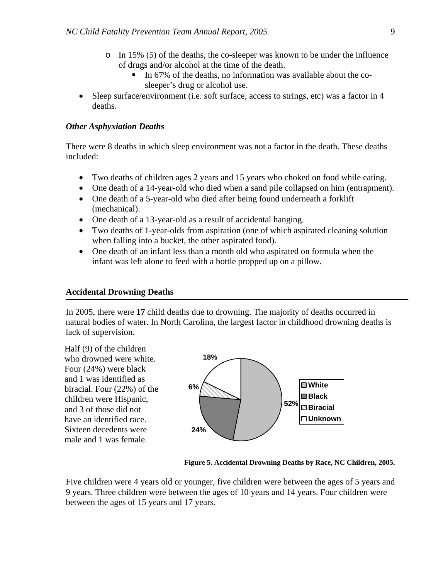- o In 15% (5) of the deaths, the co-sleeper was known to be under the influence of drugs and/or alcohol at the time of the death.
	- In 67% of the deaths, no information was available about the cosleeper's drug or alcohol use.
- Sleep surface/environment (i.e. soft surface, access to strings, etc) was a factor in 4 deaths.

## *Other Asphyxiation Deaths*

There were 8 deaths in which sleep environment was not a factor in the death. These deaths included:

- Two deaths of children ages 2 years and 15 years who choked on food while eating.
- One death of a 14-year-old who died when a sand pile collapsed on him (entrapment).
- One death of a 5-year-old who died after being found underneath a forklift (mechanical).
- One death of a 13-year-old as a result of accidental hanging.
- Two deaths of 1-year-olds from aspiration (one of which aspirated cleaning solution when falling into a bucket, the other aspirated food).
- One death of an infant less than a month old who aspirated on formula when the infant was left alone to feed with a bottle propped up on a pillow.

#### **Accidental Drowning Deaths**

In 2005, there were **17** child deaths due to drowning. The majority of deaths occurred in natural bodies of water. In North Carolina, the largest factor in childhood drowning deaths is lack of supervision.

Half (9) of the children who drowned were white. Four (24%) were black and 1 was identified as biracial. Four (22%) of the children were Hispanic, and 3 of those did not have an identified race. Sixteen decedents were male and 1 was female.



**Figure 5. Accidental Drowning Deaths by Race, NC Children, 2005.** 

Five children were 4 years old or younger, five children were between the ages of 5 years and 9 years. Three children were between the ages of 10 years and 14 years. Four children were between the ages of 15 years and 17 years.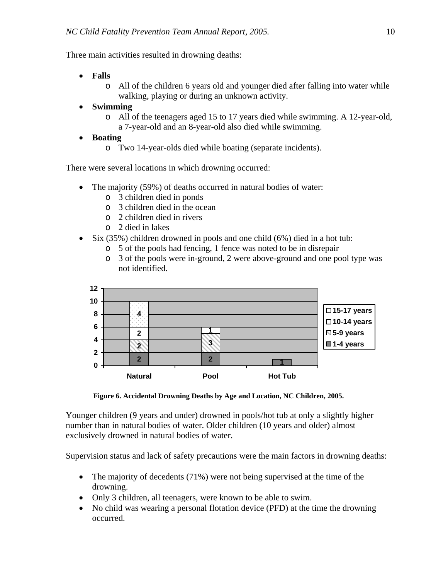Three main activities resulted in drowning deaths:

- **Falls**
	- o All of the children 6 years old and younger died after falling into water while walking, playing or during an unknown activity.
- **Swimming**
	- o All of the teenagers aged 15 to 17 years died while swimming. A 12-year-old, a 7-year-old and an 8-year-old also died while swimming.
- **Boating**
	- o Two 14-year-olds died while boating (separate incidents).

There were several locations in which drowning occurred:

- The majority (59%) of deaths occurred in natural bodies of water:
	- o 3 children died in ponds
	- o 3 children died in the ocean
	- o 2 children died in rivers
	- o 2 died in lakes
- Six (35%) children drowned in pools and one child (6%) died in a hot tub:
	- o 5 of the pools had fencing, 1 fence was noted to be in disrepair
	- o 3 of the pools were in-ground, 2 were above-ground and one pool type was not identified.



 **Figure 6. Accidental Drowning Deaths by Age and Location, NC Children, 2005.** 

Younger children (9 years and under) drowned in pools/hot tub at only a slightly higher number than in natural bodies of water. Older children (10 years and older) almost exclusively drowned in natural bodies of water.

Supervision status and lack of safety precautions were the main factors in drowning deaths:

- The majority of decedents (71%) were not being supervised at the time of the drowning.
- Only 3 children, all teenagers, were known to be able to swim.
- No child was wearing a personal flotation device (PFD) at the time the drowning occurred.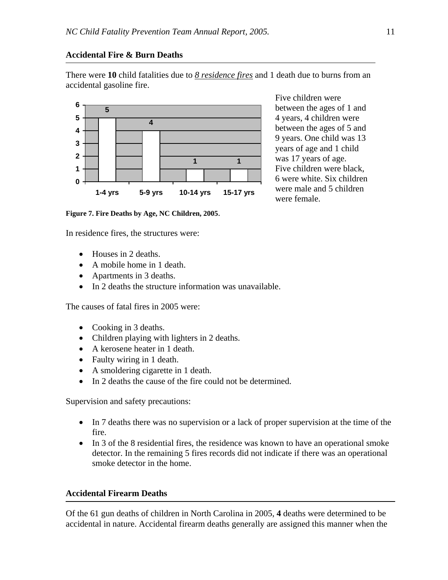# **Accidental Fire & Burn Deaths**

There were **10** child fatalities due to *8 residence fires* and 1 death due to burns from an accidental gasoline fire.



**Figure 7. Fire Deaths by Age, NC Children, 2005**.

In residence fires, the structures were:

- Houses in 2 deaths.
- A mobile home in 1 death.
- Apartments in 3 deaths.
- In 2 deaths the structure information was unavailable.

The causes of fatal fires in 2005 were:

- Cooking in 3 deaths.
- Children playing with lighters in 2 deaths.
- A kerosene heater in 1 death.
- Faulty wiring in 1 death.
- A smoldering cigarette in 1 death.
- In 2 deaths the cause of the fire could not be determined.

Supervision and safety precautions:

- In 7 deaths there was no supervision or a lack of proper supervision at the time of the fire.
- In 3 of the 8 residential fires, the residence was known to have an operational smoke detector. In the remaining 5 fires records did not indicate if there was an operational smoke detector in the home.

## **Accidental Firearm Deaths**

Of the 61 gun deaths of children in North Carolina in 2005, **4** deaths were determined to be accidental in nature. Accidental firearm deaths generally are assigned this manner when the

Five children were between the ages of 1 and 4 years, 4 children were between the ages of 5 and 9 years. One child was 13 years of age and 1 child was 17 years of age. Five children were black, 6 were white. Six children were male and 5 children were female.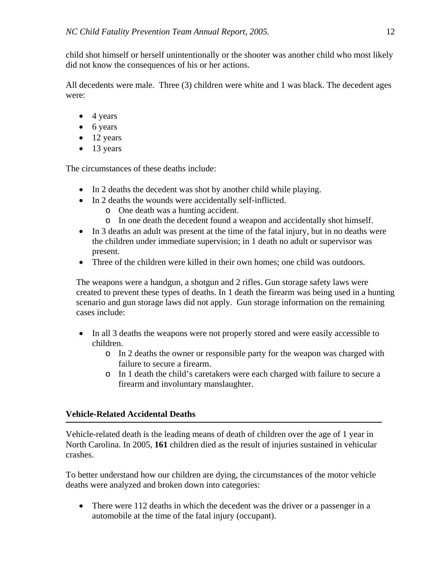child shot himself or herself unintentionally or the shooter was another child who most likely did not know the consequences of his or her actions.

All decedents were male. Three (3) children were white and 1 was black. The decedent ages were:

- 4 years
- 6 years
- $\bullet$  12 years
- 13 years

The circumstances of these deaths include:

- In 2 deaths the decedent was shot by another child while playing.
- In 2 deaths the wounds were accidentally self-inflicted.
	- o One death was a hunting accident.
	- o In one death the decedent found a weapon and accidentally shot himself.
- In 3 deaths an adult was present at the time of the fatal injury, but in no deaths were the children under immediate supervision; in 1 death no adult or supervisor was present.
- Three of the children were killed in their own homes; one child was outdoors.

The weapons were a handgun, a shotgun and 2 rifles. Gun storage safety laws were created to prevent these types of deaths. In 1 death the firearm was being used in a hunting scenario and gun storage laws did not apply. Gun storage information on the remaining cases include:

- In all 3 deaths the weapons were not properly stored and were easily accessible to children.
	- o In 2 deaths the owner or responsible party for the weapon was charged with failure to secure a firearm.
	- o In 1 death the child's caretakers were each charged with failure to secure a firearm and involuntary manslaughter.

# **Vehicle-Related Accidental Deaths**

Vehicle-related death is the leading means of death of children over the age of 1 year in North Carolina. In 2005, **161** children died as the result of injuries sustained in vehicular crashes.

To better understand how our children are dying, the circumstances of the motor vehicle deaths were analyzed and broken down into categories:

• There were 112 deaths in which the decedent was the driver or a passenger in a automobile at the time of the fatal injury (occupant).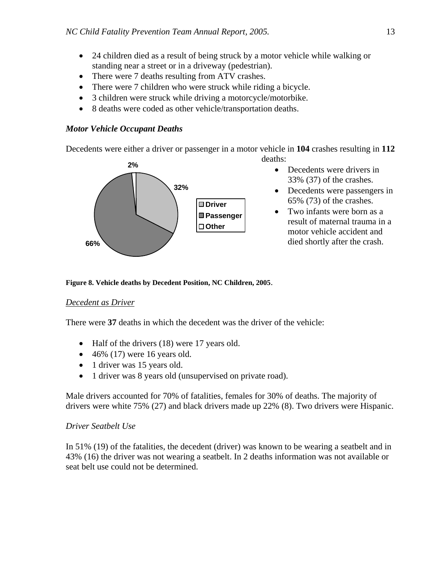- 24 children died as a result of being struck by a motor vehicle while walking or standing near a street or in a driveway (pedestrian).
- There were 7 deaths resulting from ATV crashes.
- There were 7 children who were struck while riding a bicycle.
- 3 children were struck while driving a motorcycle/motorbike.
- 8 deaths were coded as other vehicle/transportation deaths.

## *Motor Vehicle Occupant Deaths*

Decedents were either a driver or passenger in a motor vehicle in **104** crashes resulting in **112**

deaths:



- Decedents were drivers in 33% (37) of the crashes.
- Decedents were passengers in 65% (73) of the crashes.
- Two infants were born as a result of maternal trauma in a motor vehicle accident and died shortly after the crash.

#### **Figure 8. Vehicle deaths by Decedent Position, NC Children, 2005**.

#### *Decedent as Driver*

There were **37** deaths in which the decedent was the driver of the vehicle:

- Half of the drivers (18) were 17 years old.
- $\bullet$  46% (17) were 16 years old.
- 1 driver was 15 years old.
- 1 driver was 8 years old (unsupervised on private road).

Male drivers accounted for 70% of fatalities, females for 30% of deaths. The majority of drivers were white 75% (27) and black drivers made up 22% (8). Two drivers were Hispanic.

#### *Driver Seatbelt Use*

In 51% (19) of the fatalities, the decedent (driver) was known to be wearing a seatbelt and in 43% (16) the driver was not wearing a seatbelt. In 2 deaths information was not available or seat belt use could not be determined.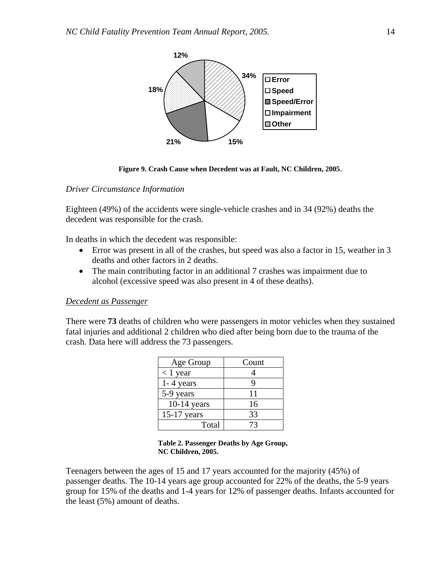

**Figure 9. Crash Cause when Decedent was at Fault, NC Children, 2005**.

#### *Driver Circumstance Information*

Eighteen (49%) of the accidents were single-vehicle crashes and in 34 (92%) deaths the decedent was responsible for the crash.

In deaths in which the decedent was responsible:

- Error was present in all of the crashes, but speed was also a factor in 15, weather in 3 deaths and other factors in 2 deaths.
- The main contributing factor in an additional 7 crashes was impairment due to alcohol (excessive speed was also present in 4 of these deaths).

#### *Decedent as Passenger*

There were **73** deaths of children who were passengers in motor vehicles when they sustained fatal injuries and additional 2 children who died after being born due to the trauma of the crash. Data here will address the 73 passengers.

| Age Group     | Count |
|---------------|-------|
| $< 1$ year    |       |
| $1 - 4$ years | q     |
| 5-9 years     | 11    |
| $10-14$ years | 16    |
| $15-17$ years | 33    |
| Total         |       |

#### **Table 2. Passenger Deaths by Age Group, NC Children, 2005.**

Teenagers between the ages of 15 and 17 years accounted for the majority (45%) of passenger deaths. The 10-14 years age group accounted for 22% of the deaths, the 5-9 years group for 15% of the deaths and 1-4 years for 12% of passenger deaths. Infants accounted for the least (5%) amount of deaths.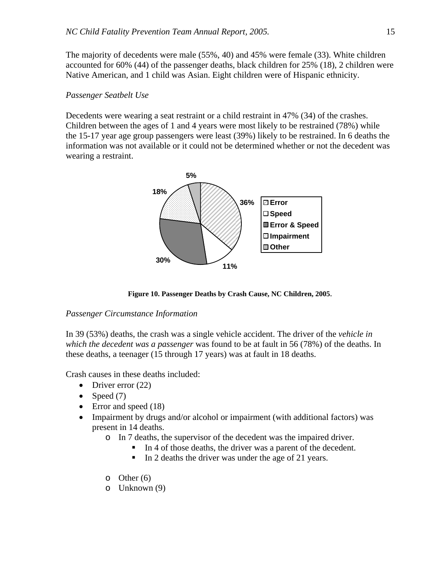The majority of decedents were male (55%, 40) and 45% were female (33). White children accounted for 60% (44) of the passenger deaths, black children for 25% (18), 2 children were Native American, and 1 child was Asian. Eight children were of Hispanic ethnicity.

#### *Passenger Seatbelt Use*

Decedents were wearing a seat restraint or a child restraint in 47% (34) of the crashes. Children between the ages of 1 and 4 years were most likely to be restrained (78%) while the 15-17 year age group passengers were least (39%) likely to be restrained. In 6 deaths the information was not available or it could not be determined whether or not the decedent was wearing a restraint.



 **Figure 10. Passenger Deaths by Crash Cause, NC Children, 2005**.

## *Passenger Circumstance Information*

In 39 (53%) deaths, the crash was a single vehicle accident. The driver of the *vehicle in which the decedent was a passenger* was found to be at fault in 56 (78%) of the deaths. In these deaths, a teenager (15 through 17 years) was at fault in 18 deaths.

Crash causes in these deaths included:

- Driver error  $(22)$
- Speed  $(7)$
- Error and speed (18)
- Impairment by drugs and/or alcohol or impairment (with additional factors) was present in 14 deaths.
	- o In 7 deaths, the supervisor of the decedent was the impaired driver.
		- In 4 of those deaths, the driver was a parent of the decedent.
		- In 2 deaths the driver was under the age of 21 years.
	- $\circ$  Other (6)
	- o Unknown (9)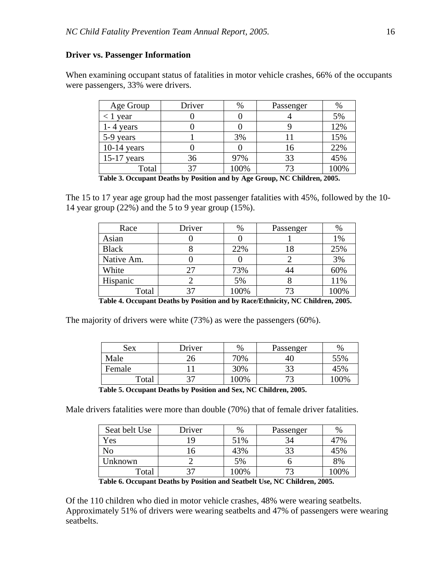#### **Driver vs. Passenger Information**

When examining occupant status of fatalities in motor vehicle crashes, 66% of the occupants were passengers, 33% were drivers.

| Age Group     | Driver | %    | Passenger | %    |
|---------------|--------|------|-----------|------|
| $< 1$ year    |        |      |           | 5%   |
| $1 - 4$ years |        |      |           | 12%  |
| 5-9 years     |        | 3%   |           | 15%  |
| $10-14$ years |        |      | 16        | 22%  |
| $15-17$ years | 36     | 97%  | 33        | 45%  |
| Total         |        | 100% |           | 100% |

**Table 3. Occupant Deaths by Position and by Age Group, NC Children, 2005.** 

The 15 to 17 year age group had the most passenger fatalities with 45%, followed by the 10- 14 year group (22%) and the 5 to 9 year group (15%).

| Race         | Driver | %    | Passenger | $\%$ |
|--------------|--------|------|-----------|------|
| Asian        |        |      |           | 1%   |
| <b>Black</b> |        | 22%  | 18        | 25%  |
| Native Am.   |        |      |           | 3%   |
| White        | 27     | 73%  |           | 60%  |
| Hispanic     |        | 5%   |           | 11%  |
| Total        |        | 100% |           | 100% |

**Table 4. Occupant Deaths by Position and by Race/Ethnicity, NC Children, 2005.** 

The majority of drivers were white (73%) as were the passengers (60%).

| Sex    | Driver | %    | Passenger | $\%$ |
|--------|--------|------|-----------|------|
| Male   | 26     | 70%  | -40       | 55%  |
| Female |        | 30%  | 22<br>۔ ب | 45%  |
| Total  | っっ     | 100% | 70        | 100% |

**Table 5. Occupant Deaths by Position and Sex, NC Children, 2005.**

Male drivers fatalities were more than double (70%) that of female driver fatalities.

| Seat belt Use | Driver | %    | Passenger | $\%$ |
|---------------|--------|------|-----------|------|
| Yes           |        | 51%  |           | 47%  |
| No            |        | 43%  |           | 45%  |
| Unknown       |        | 5%   |           | 8%   |
| Total         |        | 100% |           | 100% |

**Table 6. Occupant Deaths by Position and Seatbelt Use, NC Children, 2005.** 

Of the 110 children who died in motor vehicle crashes, 48% were wearing seatbelts. Approximately 51% of drivers were wearing seatbelts and 47% of passengers were wearing seatbelts.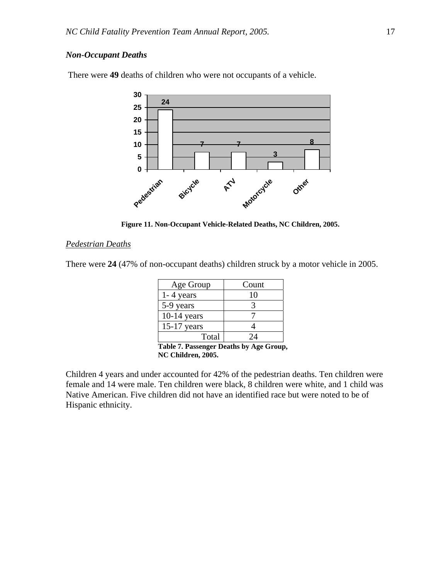## *Non-Occupant Deaths*

**24 7 7 3 8 0 5 10 15 20 25 30 Pedestrian Bicycle ATV Motorcycle** Other<sub>d</sub>

There were **49** deaths of children who were not occupants of a vehicle.

**Figure 11. Non-Occupant Vehicle-Related Deaths, NC Children, 2005.** 

#### *Pedestrian Deaths*

There were **24** (47% of non-occupant deaths) children struck by a motor vehicle in 2005.

| Age Group     | Count |
|---------------|-------|
| $1 - 4$ years | 10    |
| 5-9 years     |       |
| $10-14$ years |       |
| $15-17$ years |       |
| Total         | 7Δ    |

**Table 7. Passenger Deaths by Age Group, NC Children, 2005.** 

Children 4 years and under accounted for 42% of the pedestrian deaths. Ten children were female and 14 were male. Ten children were black, 8 children were white, and 1 child was Native American. Five children did not have an identified race but were noted to be of Hispanic ethnicity.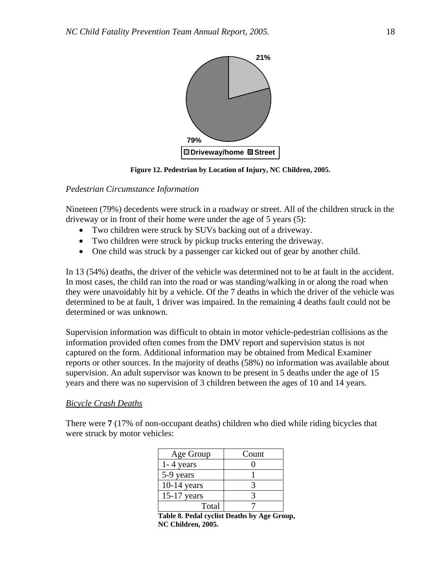

**Figure 12. Pedestrian by Location of Injury, NC Children, 2005.** 

## *Pedestrian Circumstance Information*

Nineteen (79%) decedents were struck in a roadway or street. All of the children struck in the driveway or in front of their home were under the age of 5 years (5):

- Two children were struck by SUVs backing out of a driveway.
- Two children were struck by pickup trucks entering the driveway.
- One child was struck by a passenger car kicked out of gear by another child.

In 13 (54%) deaths, the driver of the vehicle was determined not to be at fault in the accident. In most cases, the child ran into the road or was standing/walking in or along the road when they were unavoidably hit by a vehicle. Of the 7 deaths in which the driver of the vehicle was determined to be at fault, 1 driver was impaired. In the remaining 4 deaths fault could not be determined or was unknown.

Supervision information was difficult to obtain in motor vehicle-pedestrian collisions as the information provided often comes from the DMV report and supervision status is not captured on the form. Additional information may be obtained from Medical Examiner reports or other sources. In the majority of deaths (58%) no information was available about supervision. An adult supervisor was known to be present in 5 deaths under the age of 15 years and there was no supervision of 3 children between the ages of 10 and 14 years.

## *Bicycle Crash Deaths*

There were **7** (17% of non-occupant deaths) children who died while riding bicycles that were struck by motor vehicles:

| Age Group     | Count |
|---------------|-------|
| $1 - 4$ years |       |
| 5-9 years     |       |
| $10-14$ years |       |
| $15-17$ years |       |
| Total         |       |

**Table 8. Pedal cyclist Deaths by Age Group, NC Children, 2005.**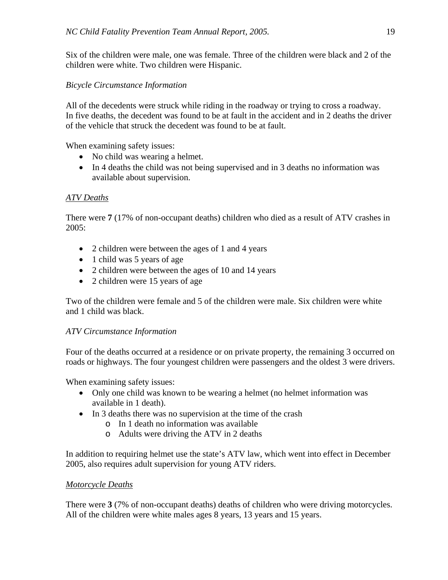Six of the children were male, one was female. Three of the children were black and 2 of the children were white. Two children were Hispanic.

# *Bicycle Circumstance Information*

All of the decedents were struck while riding in the roadway or trying to cross a roadway. In five deaths, the decedent was found to be at fault in the accident and in 2 deaths the driver of the vehicle that struck the decedent was found to be at fault.

When examining safety issues:

- No child was wearing a helmet.
- In 4 deaths the child was not being supervised and in 3 deaths no information was available about supervision.

# *ATV Deaths*

There were **7** (17% of non-occupant deaths) children who died as a result of ATV crashes in  $2005:$ 

- 2 children were between the ages of 1 and 4 years
- 1 child was 5 years of age
- 2 children were between the ages of 10 and 14 years
- 2 children were 15 years of age

Two of the children were female and 5 of the children were male. Six children were white and 1 child was black.

# *ATV Circumstance Information*

Four of the deaths occurred at a residence or on private property, the remaining 3 occurred on roads or highways. The four youngest children were passengers and the oldest 3 were drivers.

When examining safety issues:

- Only one child was known to be wearing a helmet (no helmet information was available in 1 death).
- In 3 deaths there was no supervision at the time of the crash
	- o In 1 death no information was available
	- o Adults were driving the ATV in 2 deaths

In addition to requiring helmet use the state's ATV law, which went into effect in December 2005, also requires adult supervision for young ATV riders.

# *Motorcycle Deaths*

There were **3** (7% of non-occupant deaths) deaths of children who were driving motorcycles. All of the children were white males ages 8 years, 13 years and 15 years.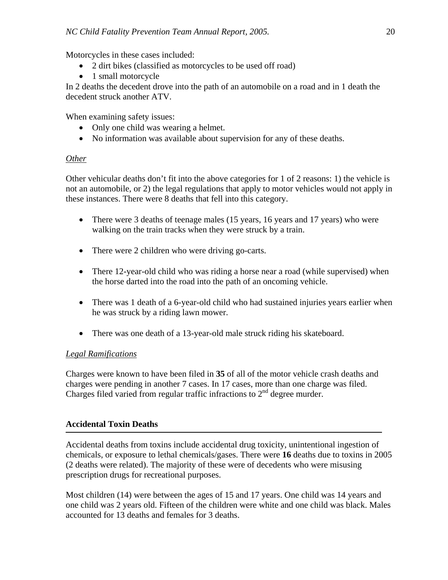Motorcycles in these cases included:

- 2 dirt bikes (classified as motorcycles to be used off road)
- 1 small motorcycle

In 2 deaths the decedent drove into the path of an automobile on a road and in 1 death the decedent struck another ATV.

When examining safety issues:

- Only one child was wearing a helmet.
- No information was available about supervision for any of these deaths.

# *Other*

Other vehicular deaths don't fit into the above categories for 1 of 2 reasons: 1) the vehicle is not an automobile, or 2) the legal regulations that apply to motor vehicles would not apply in these instances. There were 8 deaths that fell into this category.

- There were 3 deaths of teenage males (15 years, 16 years and 17 years) who were walking on the train tracks when they were struck by a train.
- There were 2 children who were driving go-carts.
- There 12-year-old child who was riding a horse near a road (while supervised) when the horse darted into the road into the path of an oncoming vehicle.
- There was 1 death of a 6-year-old child who had sustained injuries years earlier when he was struck by a riding lawn mower.
- There was one death of a 13-year-old male struck riding his skateboard.

# *Legal Ramifications*

Charges were known to have been filed in **35** of all of the motor vehicle crash deaths and charges were pending in another 7 cases. In 17 cases, more than one charge was filed. Charges filed varied from regular traffic infractions to  $2<sup>nd</sup>$  degree murder.

# **Accidental Toxin Deaths**

Accidental deaths from toxins include accidental drug toxicity, unintentional ingestion of chemicals, or exposure to lethal chemicals/gases. There were **16** deaths due to toxins in 2005 (2 deaths were related). The majority of these were of decedents who were misusing prescription drugs for recreational purposes.

Most children (14) were between the ages of 15 and 17 years. One child was 14 years and one child was 2 years old. Fifteen of the children were white and one child was black. Males accounted for 13 deaths and females for 3 deaths.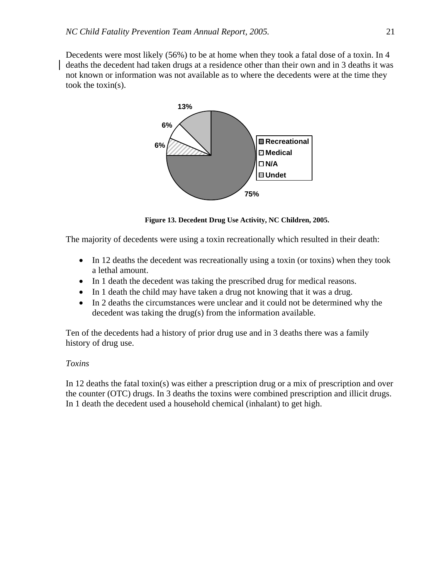Decedents were most likely (56%) to be at home when they took a fatal dose of a toxin. In 4 deaths the decedent had taken drugs at a residence other than their own and in 3 deaths it was not known or information was not available as to where the decedents were at the time they took the toxin(s).



**Figure 13. Decedent Drug Use Activity, NC Children, 2005.** 

The majority of decedents were using a toxin recreationally which resulted in their death:

- In 12 deaths the decedent was recreationally using a toxin (or toxins) when they took a lethal amount.
- In 1 death the decedent was taking the prescribed drug for medical reasons.
- In 1 death the child may have taken a drug not knowing that it was a drug.
- In 2 deaths the circumstances were unclear and it could not be determined why the decedent was taking the drug(s) from the information available.

Ten of the decedents had a history of prior drug use and in 3 deaths there was a family history of drug use.

# *Toxins*

In 12 deaths the fatal toxin(s) was either a prescription drug or a mix of prescription and over the counter (OTC) drugs. In 3 deaths the toxins were combined prescription and illicit drugs. In 1 death the decedent used a household chemical (inhalant) to get high.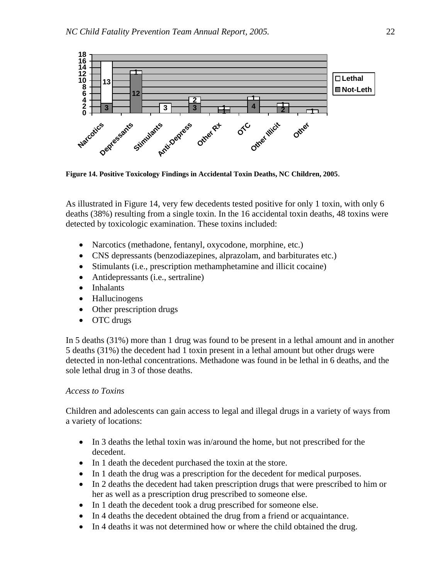

**Figure 14. Positive Toxicology Findings in Accidental Toxin Deaths, NC Children, 2005**.

As illustrated in Figure 14, very few decedents tested positive for only 1 toxin, with only 6 deaths (38%) resulting from a single toxin. In the 16 accidental toxin deaths, 48 toxins were detected by toxicologic examination. These toxins included:

- Narcotics (methadone, fentanyl, oxycodone, morphine, etc.)
- CNS depressants (benzodiazepines, alprazolam, and barbiturates etc.)
- Stimulants (i.e., prescription methamphetamine and illicit cocaine)
- Antidepressants (i.e., sertraline)
- Inhalants
- Hallucinogens
- Other prescription drugs
- OTC drugs

In 5 deaths (31%) more than 1 drug was found to be present in a lethal amount and in another 5 deaths (31%) the decedent had 1 toxin present in a lethal amount but other drugs were detected in non-lethal concentrations. Methadone was found in be lethal in 6 deaths, and the sole lethal drug in 3 of those deaths.

# *Access to Toxins*

Children and adolescents can gain access to legal and illegal drugs in a variety of ways from a variety of locations:

- In 3 deaths the lethal toxin was in/around the home, but not prescribed for the decedent.
- In 1 death the decedent purchased the toxin at the store.
- In 1 death the drug was a prescription for the decedent for medical purposes.
- In 2 deaths the decedent had taken prescription drugs that were prescribed to him or her as well as a prescription drug prescribed to someone else.
- In 1 death the decedent took a drug prescribed for someone else.
- In 4 deaths the decedent obtained the drug from a friend or acquaintance.
- In 4 deaths it was not determined how or where the child obtained the drug.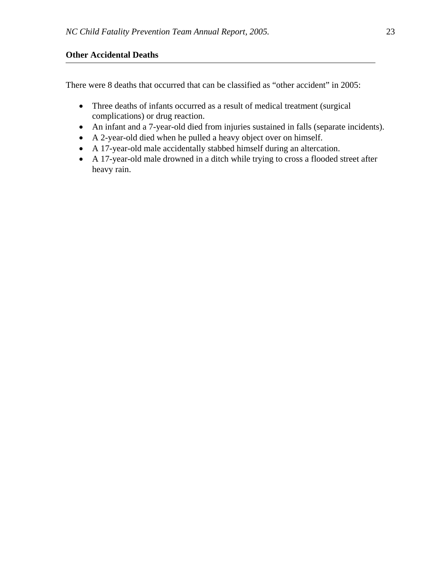# **Other Accidental Deaths**

There were 8 deaths that occurred that can be classified as "other accident" in 2005:

- Three deaths of infants occurred as a result of medical treatment (surgical complications) or drug reaction.
- An infant and a 7-year-old died from injuries sustained in falls (separate incidents).
- A 2-year-old died when he pulled a heavy object over on himself.
- A 17-year-old male accidentally stabbed himself during an altercation.
- A 17-year-old male drowned in a ditch while trying to cross a flooded street after heavy rain.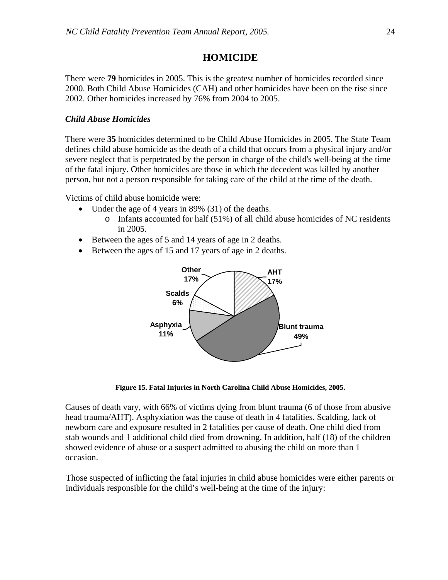# **HOMICIDE**

There were **79** homicides in 2005. This is the greatest number of homicides recorded since 2000. Both Child Abuse Homicides (CAH) and other homicides have been on the rise since 2002. Other homicides increased by 76% from 2004 to 2005.

## *Child Abuse Homicides*

There were **35** homicides determined to be Child Abuse Homicides in 2005. The State Team defines child abuse homicide as the death of a child that occurs from a physical injury and/or severe neglect that is perpetrated by the person in charge of the child's well-being at the time of the fatal injury. Other homicides are those in which the decedent was killed by another person, but not a person responsible for taking care of the child at the time of the death.

Victims of child abuse homicide were:

- Under the age of 4 years in 89% (31) of the deaths.
	- o Infants accounted for half (51%) of all child abuse homicides of NC residents in 2005.
- Between the ages of 5 and 14 years of age in 2 deaths.
- Between the ages of 15 and 17 years of age in 2 deaths.



**Figure 15. Fatal Injuries in North Carolina Child Abuse Homicides, 2005.**

Causes of death vary, with 66% of victims dying from blunt trauma (6 of those from abusive head trauma/AHT). Asphyxiation was the cause of death in 4 fatalities. Scalding, lack of newborn care and exposure resulted in 2 fatalities per cause of death. One child died from stab wounds and 1 additional child died from drowning. In addition, half (18) of the children showed evidence of abuse or a suspect admitted to abusing the child on more than 1 occasion.

Those suspected of inflicting the fatal injuries in child abuse homicides were either parents or individuals responsible for the child's well-being at the time of the injury: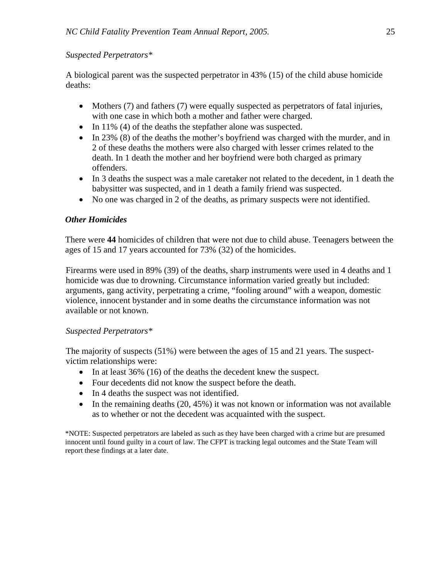# *Suspected Perpetrators\**

A biological parent was the suspected perpetrator in 43% (15) of the child abuse homicide deaths:

- Mothers (7) and fathers (7) were equally suspected as perpetrators of fatal injuries, with one case in which both a mother and father were charged.
- In 11% (4) of the deaths the stepfather alone was suspected.
- In 23% (8) of the deaths the mother's boyfriend was charged with the murder, and in 2 of these deaths the mothers were also charged with lesser crimes related to the death. In 1 death the mother and her boyfriend were both charged as primary offenders.
- In 3 deaths the suspect was a male caretaker not related to the decedent, in 1 death the babysitter was suspected, and in 1 death a family friend was suspected.
- No one was charged in 2 of the deaths, as primary suspects were not identified.

# *Other Homicides*

There were **44** homicides of children that were not due to child abuse. Teenagers between the ages of 15 and 17 years accounted for 73% (32) of the homicides.

Firearms were used in 89% (39) of the deaths, sharp instruments were used in 4 deaths and 1 homicide was due to drowning. Circumstance information varied greatly but included: arguments, gang activity, perpetrating a crime, "fooling around" with a weapon, domestic violence, innocent bystander and in some deaths the circumstance information was not available or not known.

## *Suspected Perpetrators\**

The majority of suspects (51%) were between the ages of 15 and 21 years. The suspectvictim relationships were:

- In at least 36% (16) of the deaths the decedent knew the suspect.
- Four decedents did not know the suspect before the death.
- In 4 deaths the suspect was not identified.
- In the remaining deaths  $(20, 45%)$  it was not known or information was not available as to whether or not the decedent was acquainted with the suspect.

\*NOTE: Suspected perpetrators are labeled as such as they have been charged with a crime but are presumed innocent until found guilty in a court of law. The CFPT is tracking legal outcomes and the State Team will report these findings at a later date.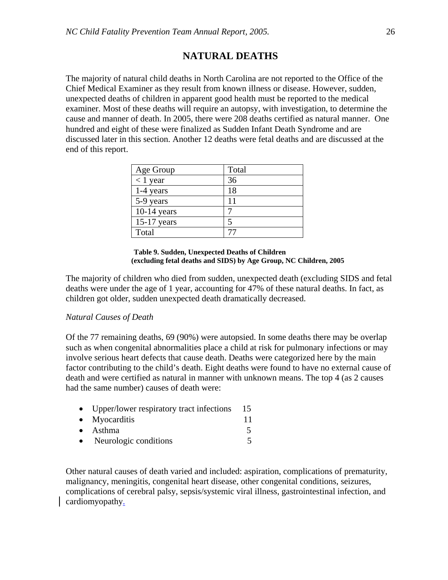# **NATURAL DEATHS**

The majority of natural child deaths in North Carolina are not reported to the Office of the Chief Medical Examiner as they result from known illness or disease. However, sudden, unexpected deaths of children in apparent good health must be reported to the medical examiner. Most of these deaths will require an autopsy, with investigation, to determine the cause and manner of death. In 2005, there were 208 deaths certified as natural manner. One hundred and eight of these were finalized as Sudden Infant Death Syndrome and are discussed later in this section. Another 12 deaths were fetal deaths and are discussed at the end of this report.

| Age Group     | Total |
|---------------|-------|
| $< 1$ year    | 36    |
| $1-4$ years   | 18    |
| 5-9 years     | 11    |
| $10-14$ years |       |
| $15-17$ years |       |
| Total         |       |

#### **Table 9. Sudden, Unexpected Deaths of Children (excluding fetal deaths and SIDS) by Age Group, NC Children, 2005**

The majority of children who died from sudden, unexpected death (excluding SIDS and fetal deaths were under the age of 1 year, accounting for 47% of these natural deaths. In fact, as children got older, sudden unexpected death dramatically decreased.

## *Natural Causes of Death*

Of the 77 remaining deaths, 69 (90%) were autopsied. In some deaths there may be overlap such as when congenital abnormalities place a child at risk for pulmonary infections or may involve serious heart defects that cause death. Deaths were categorized here by the main factor contributing to the child's death. Eight deaths were found to have no external cause of death and were certified as natural in manner with unknown means. The top 4 (as 2 causes had the same number) causes of death were:

|           | • Upper/lower respiratory tract infections | 15 |
|-----------|--------------------------------------------|----|
|           | $\bullet$ Myocarditis                      | 11 |
|           | $\bullet$ Asthma                           |    |
| $\bullet$ | Neurologic conditions                      |    |

Other natural causes of death varied and included: aspiration, complications of prematurity, malignancy, meningitis, congenital heart disease, other congenital conditions, seizures, complications of cerebral palsy, sepsis/systemic viral illness, gastrointestinal infection, and cardiomyopathy.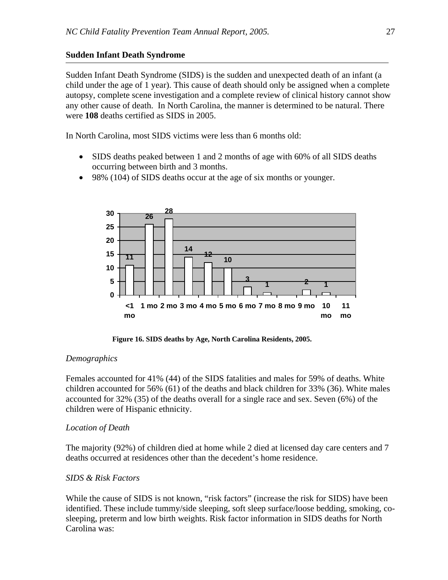# **Sudden Infant Death Syndrome**

Sudden Infant Death Syndrome (SIDS) is the sudden and unexpected death of an infant (a child under the age of 1 year). This cause of death should only be assigned when a complete autopsy, complete scene investigation and a complete review of clinical history cannot show any other cause of death. In North Carolina, the manner is determined to be natural. There were **108** deaths certified as SIDS in 2005.

In North Carolina, most SIDS victims were less than 6 months old:

- SIDS deaths peaked between 1 and 2 months of age with 60% of all SIDS deaths occurring between birth and 3 months.
- 98% (104) of SIDS deaths occur at the age of six months or younger.



 **Figure 16. SIDS deaths by Age, North Carolina Residents, 2005.** 

# *Demographics*

Females accounted for 41% (44) of the SIDS fatalities and males for 59% of deaths. White children accounted for 56% (61) of the deaths and black children for 33% (36). White males accounted for 32% (35) of the deaths overall for a single race and sex. Seven (6%) of the children were of Hispanic ethnicity.

# *Location of Death*

The majority (92%) of children died at home while 2 died at licensed day care centers and 7 deaths occurred at residences other than the decedent's home residence.

# *SIDS & Risk Factors*

While the cause of SIDS is not known, "risk factors" (increase the risk for SIDS) have been identified. These include tummy/side sleeping, soft sleep surface/loose bedding, smoking, cosleeping, preterm and low birth weights. Risk factor information in SIDS deaths for North Carolina was: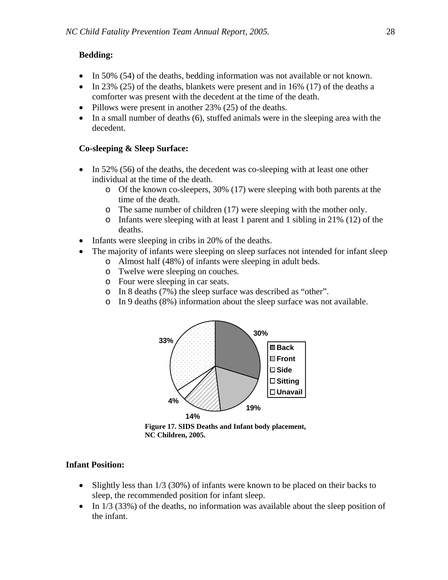# **Bedding:**

- In 50% (54) of the deaths, bedding information was not available or not known.
- In 23% (25) of the deaths, blankets were present and in  $16\%$  (17) of the deaths a comforter was present with the decedent at the time of the death.
- Pillows were present in another 23% (25) of the deaths.
- In a small number of deaths (6), stuffed animals were in the sleeping area with the decedent.

# **Co-sleeping & Sleep Surface:**

- In 52% (56) of the deaths, the decedent was co-sleeping with at least one other individual at the time of the death.
	- o Of the known co-sleepers, 30% (17) were sleeping with both parents at the time of the death.
	- o The same number of children (17) were sleeping with the mother only.
	- o Infants were sleeping with at least 1 parent and 1 sibling in 21% (12) of the deaths.
- Infants were sleeping in cribs in 20% of the deaths.
- The majority of infants were sleeping on sleep surfaces not intended for infant sleep o Almost half (48%) of infants were sleeping in adult beds.
	- o Twelve were sleeping on couches.
	- o Four were sleeping in car seats.
	- o In 8 deaths (7%) the sleep surface was described as "other".
	- o In 9 deaths (8%) information about the sleep surface was not available.



**Figure 17. SIDS Deaths and Infant body placement, NC Children, 2005.** 

# **Infant Position:**

- Slightly less than 1/3 (30%) of infants were known to be placed on their backs to sleep, the recommended position for infant sleep.
- In  $1/3$  (33%) of the deaths, no information was available about the sleep position of the infant.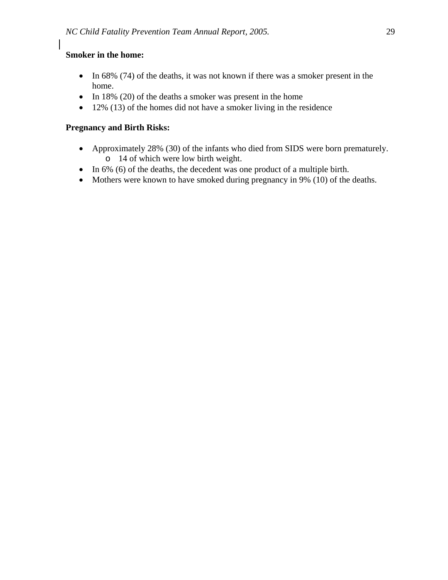# **Smoker in the home:**

- In 68% (74) of the deaths, it was not known if there was a smoker present in the home.
- In 18% (20) of the deaths a smoker was present in the home
- 12% (13) of the homes did not have a smoker living in the residence

# **Pregnancy and Birth Risks:**

- Approximately 28% (30) of the infants who died from SIDS were born prematurely. o 14 of which were low birth weight.
- In 6% (6) of the deaths, the decedent was one product of a multiple birth.
- Mothers were known to have smoked during pregnancy in 9% (10) of the deaths.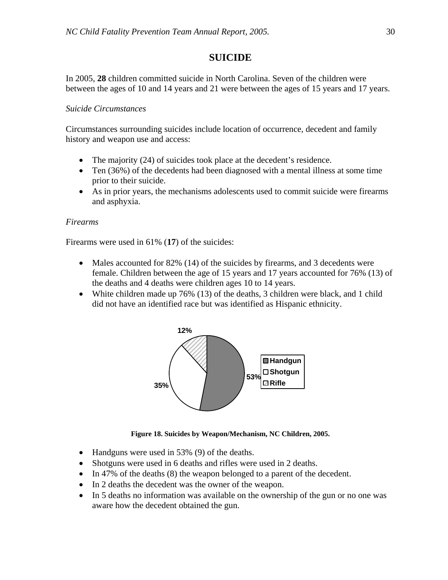# **SUICIDE**

In 2005, **28** children committed suicide in North Carolina. Seven of the children were between the ages of 10 and 14 years and 21 were between the ages of 15 years and 17 years.

# *Suicide Circumstances*

Circumstances surrounding suicides include location of occurrence, decedent and family history and weapon use and access:

- The majority (24) of suicides took place at the decedent's residence.
- Ten (36%) of the decedents had been diagnosed with a mental illness at some time prior to their suicide.
- As in prior years, the mechanisms adolescents used to commit suicide were firearms and asphyxia.

# *Firearms*

Firearms were used in 61% (**17**) of the suicides:

- Males accounted for 82% (14) of the suicides by firearms, and 3 decedents were female. Children between the age of 15 years and 17 years accounted for 76% (13) of the deaths and 4 deaths were children ages 10 to 14 years.
- White children made up 76% (13) of the deaths, 3 children were black, and 1 child did not have an identified race but was identified as Hispanic ethnicity.



**Figure 18. Suicides by Weapon/Mechanism, NC Children, 2005.**

- Handguns were used in 53% (9) of the deaths.
- Shotguns were used in 6 deaths and rifles were used in 2 deaths.
- In 47% of the deaths (8) the weapon belonged to a parent of the decedent.
- In 2 deaths the decedent was the owner of the weapon.
- In 5 deaths no information was available on the ownership of the gun or no one was aware how the decedent obtained the gun.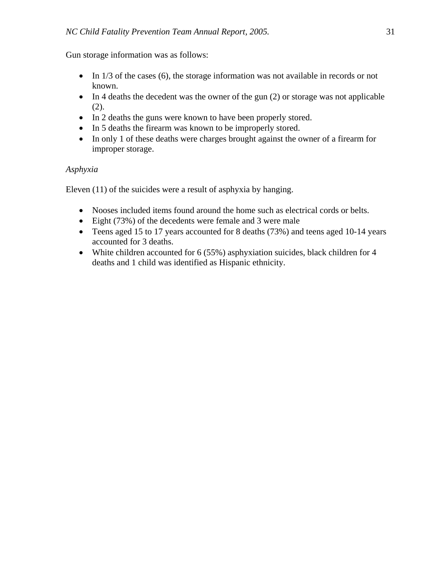Gun storage information was as follows:

- In 1/3 of the cases (6), the storage information was not available in records or not known.
- In 4 deaths the decedent was the owner of the gun (2) or storage was not applicable (2).
- In 2 deaths the guns were known to have been properly stored.
- In 5 deaths the firearm was known to be improperly stored.
- In only 1 of these deaths were charges brought against the owner of a firearm for improper storage.

# *Asphyxia*

Eleven (11) of the suicides were a result of asphyxia by hanging.

- Nooses included items found around the home such as electrical cords or belts.
- Eight (73%) of the decedents were female and 3 were male
- Teens aged 15 to 17 years accounted for 8 deaths (73%) and teens aged 10-14 years accounted for 3 deaths.
- White children accounted for 6 (55%) asphyxiation suicides, black children for 4 deaths and 1 child was identified as Hispanic ethnicity.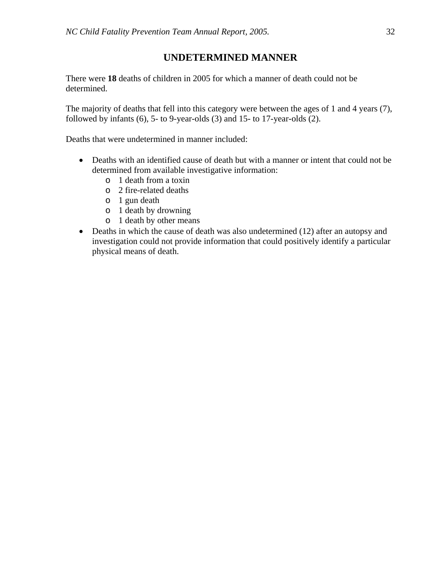# **UNDETERMINED MANNER**

There were **18** deaths of children in 2005 for which a manner of death could not be determined.

The majority of deaths that fell into this category were between the ages of 1 and 4 years (7), followed by infants (6), 5- to 9-year-olds (3) and 15- to 17-year-olds (2).

Deaths that were undetermined in manner included:

- Deaths with an identified cause of death but with a manner or intent that could not be determined from available investigative information:
	- o 1 death from a toxin
	- o 2 fire-related deaths
	- o 1 gun death
	- o 1 death by drowning
	- o 1 death by other means
- Deaths in which the cause of death was also undetermined (12) after an autopsy and investigation could not provide information that could positively identify a particular physical means of death.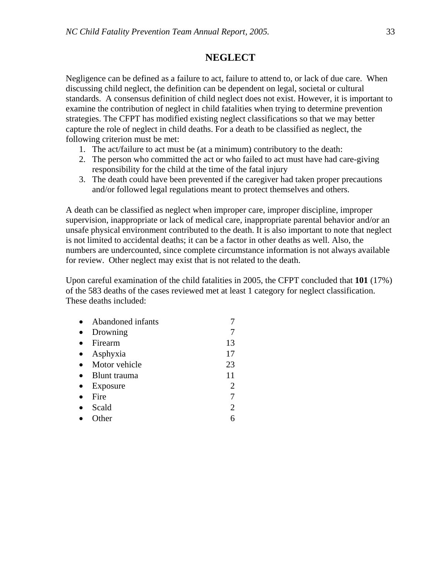# **NEGLECT**

Negligence can be defined as a failure to act, failure to attend to, or lack of due care. When discussing child neglect, the definition can be dependent on legal, societal or cultural standards. A consensus definition of child neglect does not exist. However, it is important to examine the contribution of neglect in child fatalities when trying to determine prevention strategies. The CFPT has modified existing neglect classifications so that we may better capture the role of neglect in child deaths. For a death to be classified as neglect, the following criterion must be met:

- 1. The act/failure to act must be (at a minimum) contributory to the death:
- 2. The person who committed the act or who failed to act must have had care-giving responsibility for the child at the time of the fatal injury
- 3. The death could have been prevented if the caregiver had taken proper precautions and/or followed legal regulations meant to protect themselves and others.

A death can be classified as neglect when improper care, improper discipline, improper supervision, inappropriate or lack of medical care, inappropriate parental behavior and/or an unsafe physical environment contributed to the death. It is also important to note that neglect is not limited to accidental deaths; it can be a factor in other deaths as well. Also, the numbers are undercounted, since complete circumstance information is not always available for review. Other neglect may exist that is not related to the death.

Upon careful examination of the child fatalities in 2005, the CFPT concluded that **101** (17%) of the 583 deaths of the cases reviewed met at least 1 category for neglect classification. These deaths included:

| Abandoned infants |                |
|-------------------|----------------|
| Drowning          |                |
| Firearm           | 13             |
| Asphyxia          | 17             |
| Motor vehicle     | 23             |
| Blunt trauma      | 11             |
| Exposure          | 2              |
| Fire              |                |
| Scald             | $\overline{2}$ |
| Other             |                |
|                   |                |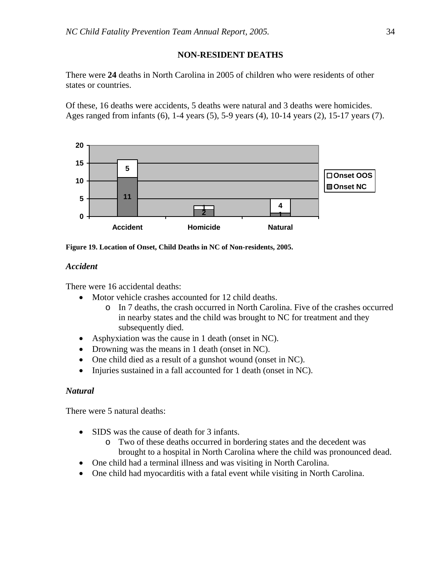# **NON-RESIDENT DEATHS**

There were **24** deaths in North Carolina in 2005 of children who were residents of other states or countries.

Of these, 16 deaths were accidents, 5 deaths were natural and 3 deaths were homicides. Ages ranged from infants (6), 1-4 years (5), 5-9 years (4), 10-14 years (2), 15-17 years (7).



**Figure 19. Location of Onset, Child Deaths in NC of Non-residents, 2005.** 

# *Accident*

There were 16 accidental deaths:

- Motor vehicle crashes accounted for 12 child deaths.
	- o In 7 deaths, the crash occurred in North Carolina. Five of the crashes occurred in nearby states and the child was brought to NC for treatment and they subsequently died.
- Asphyxiation was the cause in 1 death (onset in NC).
- Drowning was the means in 1 death (onset in NC).
- One child died as a result of a gunshot wound (onset in NC).
- Injuries sustained in a fall accounted for 1 death (onset in NC).

# *Natural*

There were 5 natural deaths:

- SIDS was the cause of death for 3 infants.
	- o Two of these deaths occurred in bordering states and the decedent was brought to a hospital in North Carolina where the child was pronounced dead.
- One child had a terminal illness and was visiting in North Carolina.
- One child had myocarditis with a fatal event while visiting in North Carolina.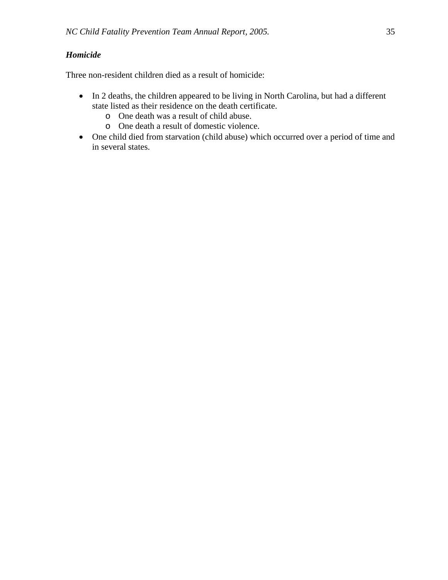# *Homicide*

Three non-resident children died as a result of homicide:

- In 2 deaths, the children appeared to be living in North Carolina, but had a different state listed as their residence on the death certificate.
	- o One death was a result of child abuse.
	- o One death a result of domestic violence.
- One child died from starvation (child abuse) which occurred over a period of time and in several states.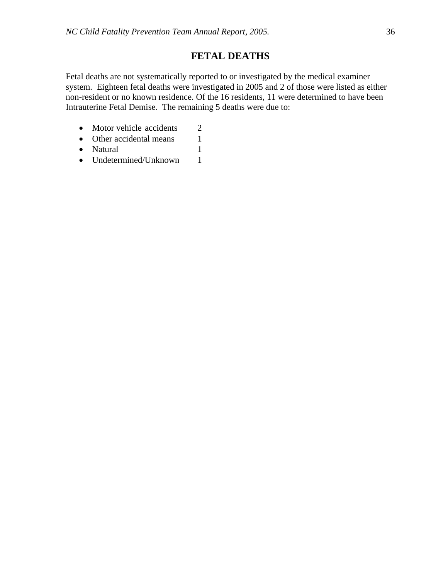# **FETAL DEATHS**

Fetal deaths are not systematically reported to or investigated by the medical examiner system. Eighteen fetal deaths were investigated in 2005 and 2 of those were listed as either non-resident or no known residence. Of the 16 residents, 11 were determined to have been Intrauterine Fetal Demise. The remaining 5 deaths were due to:

- Motor vehicle accidents 2
- Other accidental means 1
- Natural 1
- Undetermined/Unknown 1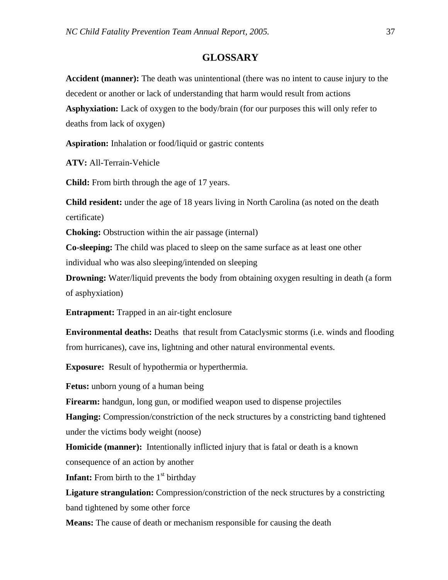# **GLOSSARY**

**Accident (manner):** The death was unintentional (there was no intent to cause injury to the decedent or another or lack of understanding that harm would result from actions **Asphyxiation:** Lack of oxygen to the body/brain (for our purposes this will only refer to deaths from lack of oxygen)

**Aspiration:** Inhalation or food/liquid or gastric contents

**ATV:** All-Terrain-Vehicle

**Child:** From birth through the age of 17 years.

**Child resident:** under the age of 18 years living in North Carolina (as noted on the death certificate)

**Choking:** Obstruction within the air passage (internal)

**Co-sleeping:** The child was placed to sleep on the same surface as at least one other individual who was also sleeping/intended on sleeping

**Drowning:** Water/liquid prevents the body from obtaining oxygen resulting in death (a form of asphyxiation)

**Entrapment:** Trapped in an air-tight enclosure

**Environmental deaths:** Deaths that result from Cataclysmic storms (i.e. winds and flooding from hurricanes), cave ins, lightning and other natural environmental events.

**Exposure:** Result of hypothermia or hyperthermia.

**Fetus:** unborn young of a human being

**Firearm:** handgun, long gun, or modified weapon used to dispense projectiles

**Hanging:** Compression/constriction of the neck structures by a constricting band tightened under the victims body weight (noose)

**Homicide (manner):** Intentionally inflicted injury that is fatal or death is a known consequence of an action by another

**Infant:** From birth to the  $1<sup>st</sup>$  birthday

**Ligature strangulation:** Compression/constriction of the neck structures by a constricting band tightened by some other force

**Means:** The cause of death or mechanism responsible for causing the death